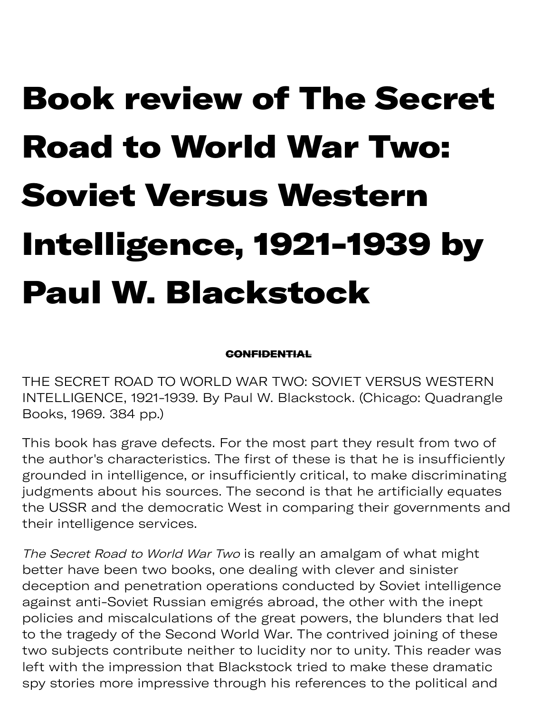## Book review of The Secret Road to World War Two: Soviet Versus Western Intelligence, 1921-1939 by Paul W. Blackstock

## **CONFIDENTIAL**

THE SECRET ROAD TO WORLD WAR TWO: SOVIET VERSUS WESTERN INTELLIGENCE, 1921-1939. By Paul W. Blackstock. (Chicago: Quadrangle Books, 1969. 384 pp.)

This book has grave defects. For the most part they result from two of the author's characteristics. The first of these is that he is insufficiently grounded in intelligence, or insufficiently critical, to make discriminating judgments about his sources. The second is that he artificially equates the USSR and the democratic West in comparing their governments and their intelligence services.

The Secret Road to World War Two is really an amalgam of what might better have been two books, one dealing with clever and sinister deception and penetration operations conducted by Soviet intelligence against anti-Soviet Russian emigrés abroad, the other with the inept policies and miscalculations of the great powers, the blunders that led to the tragedy of the Second World War. The contrived joining of these two subjects contribute neither to lucidity nor to unity. This reader was left with the impression that Blackstock tried to make these dramatic spy stories more impressive through his references to the political and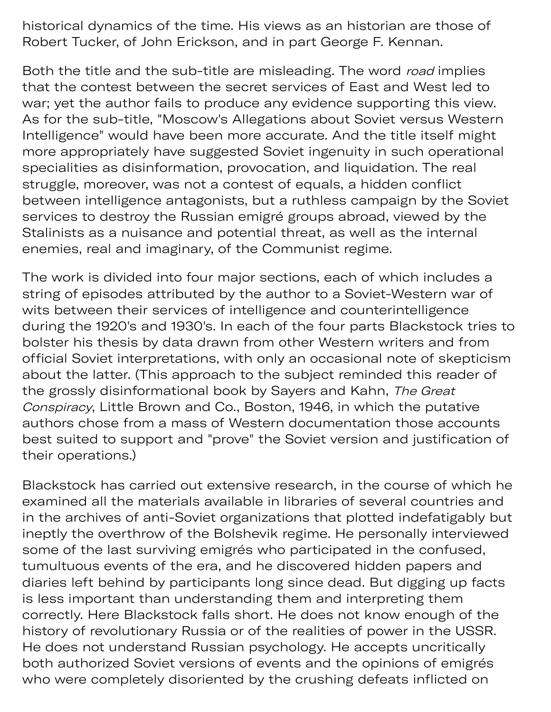historical dynamics of the time. His views as an historian are those of Robert Tucker, of John Erickson, and in part George F. Kennan.

spy s pr ugh his r e pr ugh his r e pr ugh his r e pr ugh his r e pr ugh his r e pr ugh his r e pr ugh his r e

Both the title and the sub-title are misleading. The word road implies that the contest between the secret services of East and West led to war; yet the author fails to produce any evidence supporting this view. As for the sub-title, "Moscow's Allegations about Soviet versus Western Intelligence" would have been more accurate. And the title itself might more appropriately have suggested Soviet ingenuity in such operational specialities as disinformation, provocation, and liquidation. The real struggle, moreover, was not a contest of equals, a hidden conflict between intelligence antagonists, but a ruthless campaign by the Soviet services to destroy the Russian emigré groups abroad, viewed by the Stalinists as a nuisance and potential threat, as well as the internal enemies, real and imaginary, of the Communist regime.

The work is divided into four major sections, each of which includes a string of episodes attributed by the author to a Soviet-Western war of wits between their services of intelligence and counterintelligence during the 1920's and 1930's. In each of the four parts Blackstock tries to bolster his thesis by data drawn from other Western writers and from official Soviet interpretations, with only an occasional note of skepticism about the latter. (This approach to the subject reminded this reader of the grossly disinformational book by Sayers and Kahn, The Great Conspiracy, Little Brown and Co., Boston, 1946, in which the putative authors chose from a mass of Western documentation those accounts best suited to support and "prove" the Soviet version and justification of their operations.)

Blackstock has carried out extensive research, in the course of which he examined all the materials available in libraries of several countries and in the archives of anti-Soviet organizations that plotted indefatigably but ineptly the overthrow of the Bolshevik regime. He personally interviewed some of the last surviving emigrés who participated in the confused, tumultuous events of the era, and he discovered hidden papers and diaries left behind by participants long since dead. But digging up facts is less important than understanding them and interpreting them correctly. Here Blackstock falls short. He does not know enough of the history of revolutionary Russia or of the realities of power in the USSR. He does not understand Russian psychology. He accepts uncritically both authorized Soviet versions of events and the opinions of emigrés who were completely disoriented by the crushing defeats inflicted on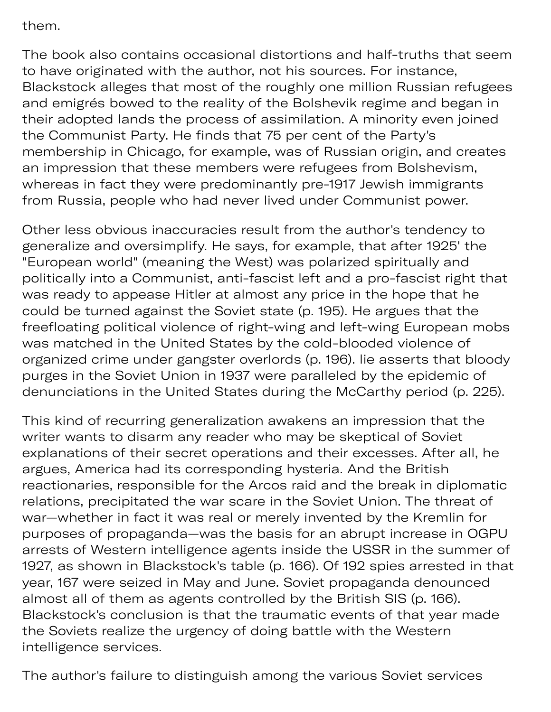them.

The book also contains occasional distortions and half-truths that seem to have originated with the author, not his sources. For instance, Blackstock alleges that most of the roughly one million Russian refugees and emigrés bowed to the reality of the Bolshevik regime and began in their adopted lands the process of assimilation. A minority even joined the Communist Party. He finds that 75 per cent of the Party's membership in Chicago, for example, was of Russian origin, and creates an impression that these members were refugees from Bolshevism, whereas in fact they were predominantly pre-1917 Jewish immigrants from Russia, people who had never lived under Communist power.

ple ely dis y the crushing de

Other less obvious inaccuracies result from the author's tendency to generalize and oversimplify. He says, for example, that after 1925' the "European world" (meaning the West) was polarized spiritually and politically into a Communist, anti-fascist left and a pro-fascist right that was ready to appease Hitler at almost any price in the hope that he could be turned against the Soviet state (p. 195). He argues that the freefloating political violence of right-wing and left-wing European mobs was matched in the United States by the cold-blooded violence of organized crime under gangster overlords (p. 196). lie asserts that bloody purges in the Soviet Union in 1937 were paralleled by the epidemic of denunciations in the United States during the McCarthy period (p. 225).

This kind of recurring generalization awakens an impression that the writer wants to disarm any reader who may be skeptical of Soviet explanations of their secret operations and their excesses. After all, he argues, America had its corresponding hysteria. And the British reactionaries, responsible for the Arcos raid and the break in diplomatic relations, precipitated the war scare in the Soviet Union. The threat of war—whether in fact it was real or merely invented by the Kremlin for purposes of propaganda—was the basis for an abrupt increase in OGPU arrests of Western intelligence agents inside the USSR in the summer of 1927, as shown in Blackstock's table (p. 166). Of 192 spies arrested in that year, 167 were seized in May and June. Soviet propaganda denounced almost all of them as agents controlled by the British SIS (p. 166). Blackstock's conclusion is that the traumatic events of that year made the Soviets realize the urgency of doing battle with the Western intelligence services.

The author's failure to distinguish among the various Soviet services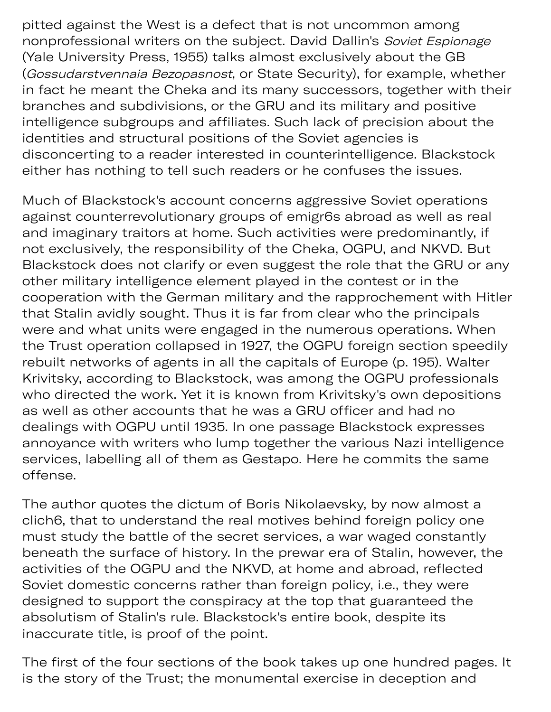pitted against the West is a defect that is not uncommon among nonprofessional writers on the subject. David Dallin's Soviet Espionage (Yale University Press, 1955) talks almost exclusively about the GB (Gossudarstvennaia Bezopasnost, or State Security), for example, whether in fact he meant the Cheka and its many successors, together with their branches and subdivisions, or the GRU and its military and positive intelligence subgroups and affiliates. Such lack of precision about the identities and structural positions of the Soviet agencies is disconcerting to a reader interested in counterintelligence. Blackstock either has nothing to tell such readers or he confuses the issues.

Much of Blackstock's account concerns aggressive Soviet operations against counterrevolutionary groups of emigr6s abroad as well as real and imaginary traitors at home. Such activities were predominantly, if not exclusively, the responsibility of the Cheka, OGPU, and NKVD. But Blackstock does not clarify or even suggest the role that the GRU or any other military intelligence element played in the contest or in the cooperation with the German military and the rapprochement with Hitler that Stalin avidly sought. Thus it is far from clear who the principals were and what units were engaged in the numerous operations. When the Trust operation collapsed in 1927, the OGPU foreign section speedily rebuilt networks of agents in all the capitals of Europe (p. 195). Walter Krivitsky, according to Blackstock, was among the OGPU professionals who directed the work. Yet it is known from Krivitsky's own depositions as well as other accounts that he was a GRU officer and had no dealings with OGPU until 1935. In one passage Blackstock expresses annoyance with writers who lump together the various Nazi intelligence services, labelling all of them as Gestapo. Here he commits the same offense.

The author quotes the dictum of Boris Nikolaevsky, by now almost a clich6, that to understand the real motives behind foreign policy one must study the battle of the secret services, a war waged constantly beneath the surface of history. In the prewar era of Stalin, however, the activities of the OGPU and the NKVD, at home and abroad, reflected Soviet domestic concerns rather than foreign policy, i.e., they were designed to support the conspiracy at the top that guaranteed the absolutism of Stalin's rule. Blackstock's entire book, despite its inaccurate title, is proof of the point.

The first of the four sections of the book takes up one hundred pages. It is the story of the Trust; the monumental exercise in deception and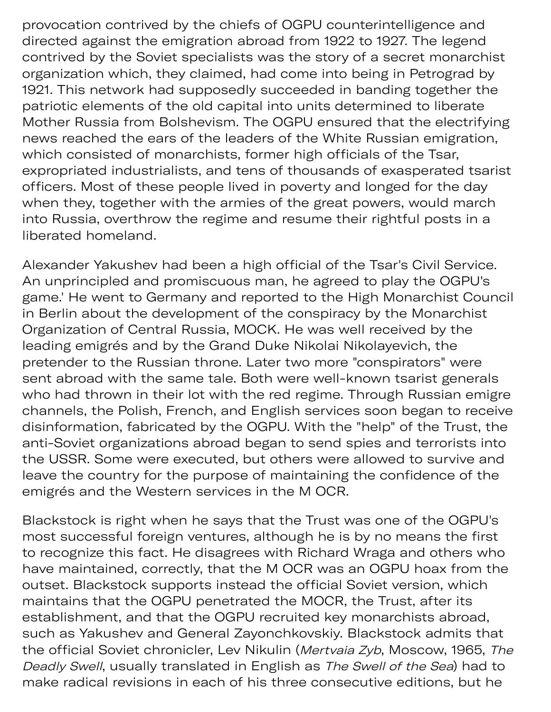provocation contrived by the chiefs of OGPU counterintelligence and directed against the emigration abroad from 1922 to 1927. The legend contrived by the Soviet specialists was the story of a secret monarchist organization which, they claimed, had come into being in Petrograd by 1921. This network had supposedly succeeded in banding together the patriotic elements of the old capital into units determined to liberate Mother Russia from Bolshevism. The OGPU ensured that the electrifying news reached the ears of the leaders of the White Russian emigration, which consisted of monarchists, former high officials of the Tsar, expropriated industrialists, and tens of thousands of exasperated tsarist officers. Most of these people lived in poverty and longed for the day when they, together with the armies of the great powers, would march into Russia, overthrow the regime and resume their rightful posts in a liberated homeland.

Alexander Yakushev had been a high official of the Tsar's Civil Service. An unprincipled and promiscuous man, he agreed to play the OGPU's game.' He went to Germany and reported to the High Monarchist Council in Berlin about the development of the conspiracy by the Monarchist Organization of Central Russia, MOCK. He was well received by the leading emigrés and by the Grand Duke Nikolai Nikolayevich, the pretender to the Russian throne. Later two more "conspirators" were sent abroad with the same tale. Both were well-known tsarist generals who had thrown in their lot with the red regime. Through Russian emigre channels, the Polish, French, and English services soon began to receive disinformation, fabricated by the OGPU. With the "help" of the Trust, the anti-Soviet organizations abroad began to send spies and terrorists into the USSR. Some were executed, but others were allowed to survive and leave the country for the purpose of maintaining the confidence of the emigrés and the Western services in the M OCR.

Blackstock is right when he says that the Trust was one of the OGPU's most successful foreign ventures, although he is by no means the first to recognize this fact. He disagrees with Richard Wraga and others who have maintained, correctly, that the M OCR was an OGPU hoax from the outset. Blackstock supports instead the official Soviet version, which maintains that the OGPU penetrated the MOCR, the Trust, after its establishment, and that the OGPU recruited key monarchists abroad, such as Yakushev and General Zayonchkovskiy. Blackstock admits that the official Soviet chronicler, Lev Nikulin (Mertvaia Zyb, Moscow, 1965, The Deadly Swell, usually translated in English as The Swell of the Sea) had to make radical revisions in each of his three consecutive editions, but he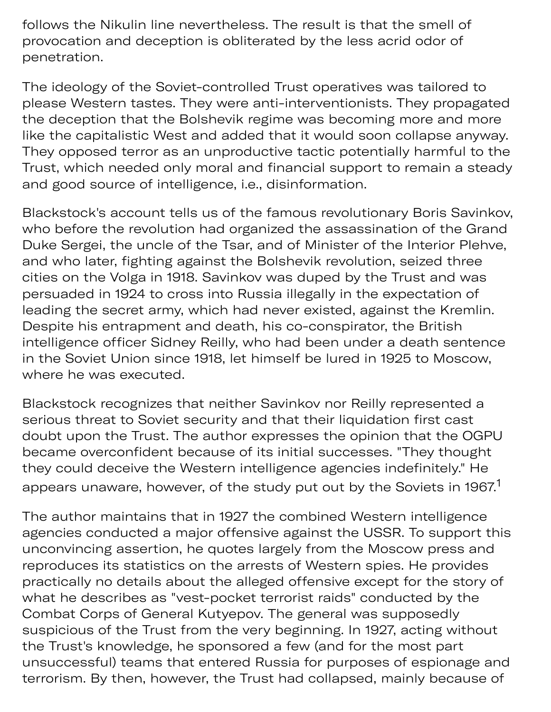follows the Nikulin line nevertheless. The result is that the smell of provocation and deception is obliterated by the less acrid odor of penetration.

The ideology of the Soviet-controlled Trust operatives was tailored to please Western tastes. They were anti-interventionists. They propagated the deception that the Bolshevik regime was becoming more and more like the capitalistic West and added that it would soon collapse anyway. They opposed terror as an unproductive tactic potentially harmful to the Trust, which needed only moral and financial support to remain a steady and good source of intelligence, i.e., disinformation.

Blackstock's account tells us of the famous revolutionary Boris Savinkov, who before the revolution had organized the assassination of the Grand Duke Sergei, the uncle of the Tsar, and of Minister of the Interior Plehve, and who later, fighting against the Bolshevik revolution, seized three cities on the Volga in 1918. Savinkov was duped by the Trust and was persuaded in 1924 to cross into Russia illegally in the expectation of leading the secret army, which had never existed, against the Kremlin. Despite his entrapment and death, his co-conspirator, the British intelligence officer Sidney Reilly, who had been under a death sentence in the Soviet Union since 1918, let himself be lured in 1925 to Moscow, where he was executed.

Blackstock recognizes that neither Savinkov nor Reilly represented a serious threat to Soviet security and that their liquidation first cast doubt upon the Trust. The author expresses the opinion that the OGPU became overconfident because of its initial successes. "They thought they could deceive the Western intelligence agencies indefinitely." He appears unaware, however, of the study put out by the Soviets in 1967.<sup>1</sup>

The author maintains that in 1927 the combined Western intelligence agencies conducted a major offensive against the USSR. To support this unconvincing assertion, he quotes largely from the Moscow press and reproduces its statistics on the arrests of Western spies. He provides practically no details about the alleged offensive except for the story of what he describes as "vest-pocket terrorist raids" conducted by the Combat Corps of General Kutyepov. The general was supposedly suspicious of the Trust from the very beginning. In 1927, acting without the Trust's knowledge, he sponsored a few (and for the most part unsuccessful) teams that entered Russia for purposes of espionage and terrorism. By then, however, the Trust had collapsed, mainly because of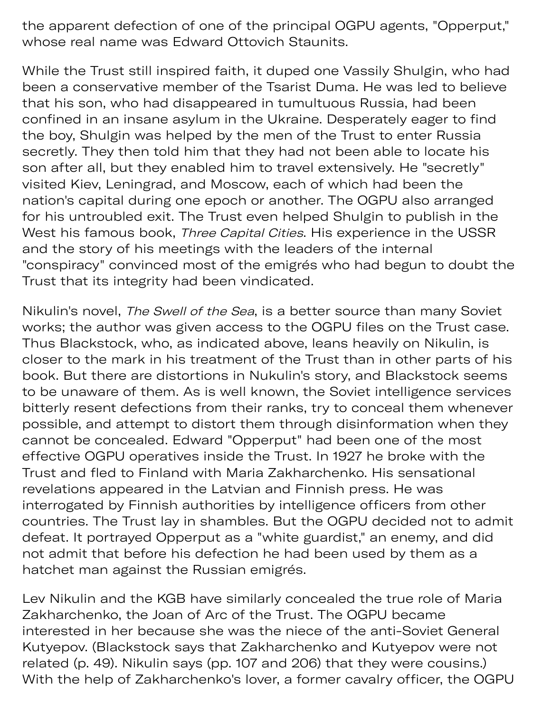the apparent defection of one of the principal OGPU agents, "Opperput," whose real name was Edward Ottovich Staunits.

 $y$  th p d, mainly by d, mainly by d, mainly by d, mainly by d, mainly by d, mainly by d, mainly by d, mainly by d, mainly by d, mainly by d, mainly by d, mainly by d, mainly by d, mainly by d, mainly by d, mainly by d, m

While the Trust still inspired faith, it duped one Vassily Shulgin, who had been a conservative member of the Tsarist Duma. He was led to believe that his son, who had disappeared in tumultuous Russia, had been confined in an insane asylum in the Ukraine. Desperately eager to find the boy, Shulgin was helped by the men of the Trust to enter Russia secretly. They then told him that they had not been able to locate his son after all, but they enabled him to travel extensively. He "secretly" visited Kiev, Leningrad, and Moscow, each of which had been the nation's capital during one epoch or another. The OGPU also arranged for his untroubled exit. The Trust even helped Shulgin to publish in the West his famous book, Three Capital Cities. His experience in the USSR and the story of his meetings with the leaders of the internal "conspiracy" convinced most of the emigrés who had begun to doubt the Trust that its integrity had been vindicated.

Nikulin's novel, The Swell of the Sea, is a better source than many Soviet works; the author was given access to the OGPU files on the Trust case. Thus Blackstock, who, as indicated above, leans heavily on Nikulin, is closer to the mark in his treatment of the Trust than in other parts of his book. But there are distortions in Nukulin's story, and Blackstock seems to be unaware of them. As is well known, the Soviet intelligence services bitterly resent defections from their ranks, try to conceal them whenever possible, and attempt to distort them through disinformation when they cannot be concealed. Edward "Opperput" had been one of the most effective OGPU operatives inside the Trust. In 1927 he broke with the Trust and fled to Finland with Maria Zakharchenko. His sensational revelations appeared in the Latvian and Finnish press. He was interrogated by Finnish authorities by intelligence officers from other countries. The Trust lay in shambles. But the OGPU decided not to admit defeat. It portrayed Opperput as a "white guardist," an enemy, and did not admit that before his defection he had been used by them as a hatchet man against the Russian emigrés.

Lev Nikulin and the KGB have similarly concealed the true role of Maria Zakharchenko, the Joan of Arc of the Trust. The OGPU became interested in her because she was the niece of the anti-Soviet General Kutyepov. (Blackstock says that Zakharchenko and Kutyepov were not related (p. 49). Nikulin says (pp. 107 and 206) that they were cousins.) With the help of Zakharchenko's lover, a former cavalry officer, the OGPU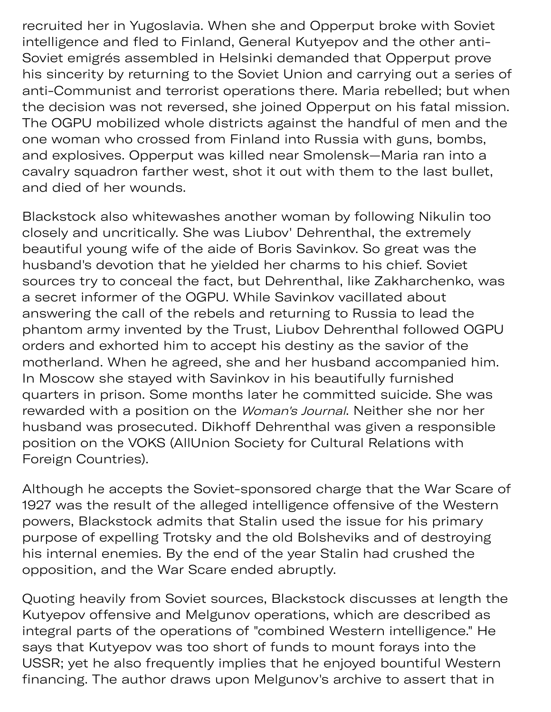recruited her in Yugoslavia. When she and Opperput broke with Soviet intelligence and fled to Finland, General Kutyepov and the other anti-Soviet emigrés assembled in Helsinki demanded that Opperput prove his sincerity by returning to the Soviet Union and carrying out a series of anti-Communist and terrorist operations there. Maria rebelled; but when the decision was not reversed, she joined Opperput on his fatal mission. The OGPU mobilized whole districts against the handful of men and the one woman who crossed from Finland into Russia with guns, bombs, and explosives. Opperput was killed near Smolensk—Maria ran into a cavalry squadron farther west, shot it out with them to the last bullet, and died of her wounds.

electric control of the control of the control of the control of the control of the control of the control of

Blackstock also whitewashes another woman by following Nikulin too closely and uncritically. She was Liubov' Dehrenthal, the extremely beautiful young wife of the aide of Boris Savinkov. So great was the husband's devotion that he yielded her charms to his chief. Soviet sources try to conceal the fact, but Dehrenthal, like Zakharchenko, was a secret informer of the OGPU. While Savinkov vacillated about answering the call of the rebels and returning to Russia to lead the phantom army invented by the Trust, Liubov Dehrenthal followed OGPU orders and exhorted him to accept his destiny as the savior of the motherland. When he agreed, she and her husband accompanied him. In Moscow she stayed with Savinkov in his beautifully furnished quarters in prison. Some months later he committed suicide. She was rewarded with a position on the Woman's Journal. Neither she nor her husband was prosecuted. Dikhoff Dehrenthal was given a responsible position on the VOKS (AllUnion Society for Cultural Relations with Foreign Countries).

Although he accepts the Soviet-sponsored charge that the War Scare of 1927 was the result of the alleged intelligence offensive of the Western powers, Blackstock admits that Stalin used the issue for his primary purpose of expelling Trotsky and the old Bolsheviks and of destroying his internal enemies. By the end of the year Stalin had crushed the opposition, and the War Scare ended abruptly.

Quoting heavily from Soviet sources, Blackstock discusses at length the Kutyepov offensive and Melgunov operations, which are described as integral parts of the operations of "combined Western intelligence." He says that Kutyepov was too short of funds to mount forays into the USSR; yet he also frequently implies that he enjoyed bountiful Western financing. The author draws upon Melgunov's archive to assert that in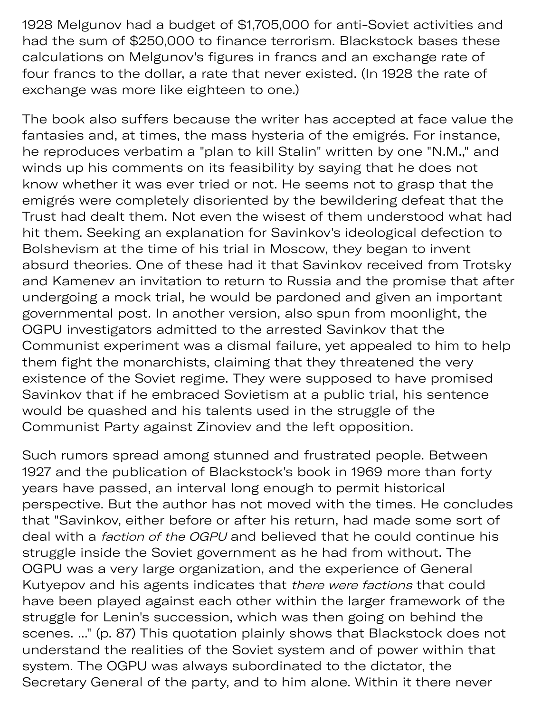1928 Melgunov had a budget of \$1,705,000 for anti-Soviet activities and had the sum of \$250,000 to finance terrorism. Blackstock bases these calculations on Melgunov's figures in francs and an exchange rate of four francs to the dollar, a rate that never existed. (In 1928 the rate of exchange was more like eighteen to one.)

The book also suffers because the writer has accepted at face value the fantasies and, at times, the mass hysteria of the emigrés. For instance, he reproduces verbatim a "plan to kill Stalin" written by one "N.M.," and winds up his comments on its feasibility by saying that he does not know whether it was ever tried or not. He seems not to grasp that the emigrés were completely disoriented by the bewildering defeat that the Trust had dealt them. Not even the wisest of them understood what had hit them. Seeking an explanation for Savinkov's ideological defection to Bolshevism at the time of his trial in Moscow, they began to invent absurd theories. One of these had it that Savinkov received from Trotsky and Kamenev an invitation to return to Russia and the promise that after undergoing a mock trial, he would be pardoned and given an important governmental post. In another version, also spun from moonlight, the OGPU investigators admitted to the arrested Savinkov that the Communist experiment was a dismal failure, yet appealed to him to help them fight the monarchists, claiming that they threatened the very existence of the Soviet regime. They were supposed to have promised Savinkov that if he embraced Sovietism at a public trial, his sentence would be quashed and his talents used in the struggle of the Communist Party against Zinoviev and the left opposition.

Such rumors spread among stunned and frustrated people. Between 1927 and the publication of Blackstock's book in 1969 more than forty years have passed, an interval long enough to permit historical perspective. But the author has not moved with the times. He concludes that "Savinkov, either before or after his return, had made some sort of deal with a faction of the OGPU and believed that he could continue his struggle inside the Soviet government as he had from without. The OGPU was a very large organization, and the experience of General Kutyepov and his agents indicates that there were factions that could have been played against each other within the larger framework of the struggle for Lenin's succession, which was then going on behind the scenes. ..." (p. 87) This quotation plainly shows that Blackstock does not understand the realities of the Soviet system and of power within that system. The OGPU was always subordinated to the dictator, the Secretary General of the party, and to him alone. Within it there never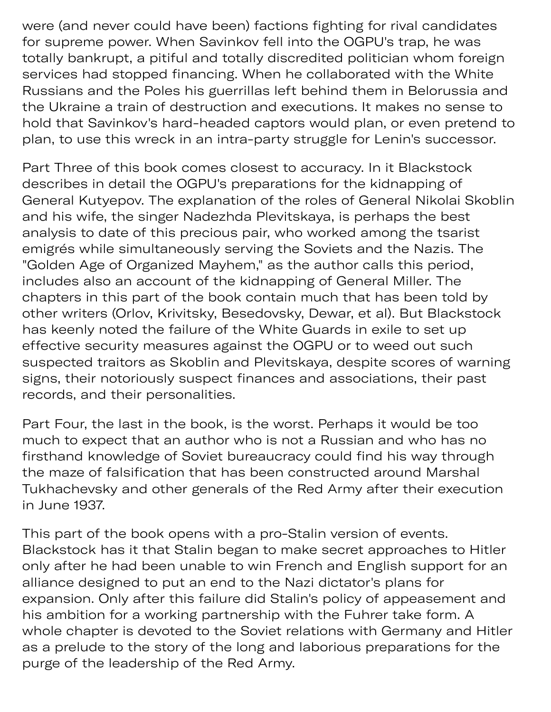were (and never could have been) factions fighting for rival candidates for supreme power. When Savinkov fell into the OGPU's trap, he was totally bankrupt, a pitiful and totally discredited politician whom foreign services had stopped financing. When he collaborated with the White Russians and the Poles his guerrillas left behind them in Belorussia and the Ukraine a train of destruction and executions. It makes no sense to hold that Savinkov's hard-headed captors would plan, or even pretend to plan, to use this wreck in an intra-party struggle for Lenin's successor.

 $y \in \mathcal{Y}$ 

Part Three of this book comes closest to accuracy. In it Blackstock describes in detail the OGPU's preparations for the kidnapping of General Kutyepov. The explanation of the roles of General Nikolai Skoblin and his wife, the singer Nadezhda Plevitskaya, is perhaps the best analysis to date of this precious pair, who worked among the tsarist emigrés while simultaneously serving the Soviets and the Nazis. The "Golden Age of Organized Mayhem," as the author calls this period, includes also an account of the kidnapping of General Miller. The chapters in this part of the book contain much that has been told by other writers (Orlov, Krivitsky, Besedovsky, Dewar, et al). But Blackstock has keenly noted the failure of the White Guards in exile to set up effective security measures against the OGPU or to weed out such suspected traitors as Skoblin and Plevitskaya, despite scores of warning signs, their notoriously suspect finances and associations, their past records, and their personalities.

Part Four, the last in the book, is the worst. Perhaps it would be too much to expect that an author who is not a Russian and who has no firsthand knowledge of Soviet bureaucracy could find his way through the maze of falsification that has been constructed around Marshal Tukhachevsky and other generals of the Red Army after their execution in June 1937.

This part of the book opens with a pro-Stalin version of events. Blackstock has it that Stalin began to make secret approaches to Hitler only after he had been unable to win French and English support for an alliance designed to put an end to the Nazi dictator's plans for expansion. Only after this failure did Stalin's policy of appeasement and his ambition for a working partnership with the Fuhrer take form. A whole chapter is devoted to the Soviet relations with Germany and Hitler as a prelude to the story of the long and laborious preparations for the purge of the leadership of the Red Army.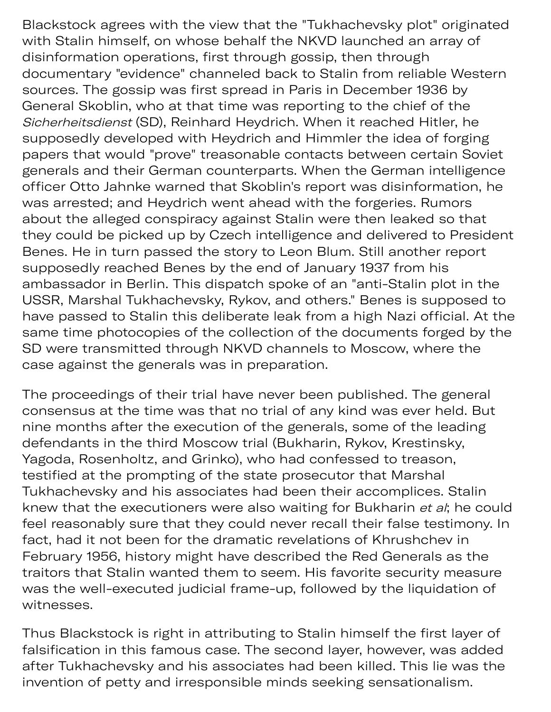Blackstock agrees with the view that the "Tukhachevsky plot" originated with Stalin himself, on whose behalf the NKVD launched an array of disinformation operations, first through gossip, then through documentary "evidence" channeled back to Stalin from reliable Western sources. The gossip was first spread in Paris in December 1936 by General Skoblin, who at that time was reporting to the chief of the Sicherheitsdienst (SD), Reinhard Heydrich. When it reached Hitler, he supposedly developed with Heydrich and Himmler the idea of forging papers that would "prove" treasonable contacts between certain Soviet generals and their German counterparts. When the German intelligence officer Otto Jahnke warned that Skoblin's report was disinformation, he was arrested; and Heydrich went ahead with the forgeries. Rumors about the alleged conspiracy against Stalin were then leaked so that they could be picked up by Czech intelligence and delivered to President Benes. He in turn passed the story to Leon Blum. Still another report supposedly reached Benes by the end of January 1937 from his ambassador in Berlin. This dispatch spoke of an "anti-Stalin plot in the USSR, Marshal Tukhachevsky, Rykov, and others." Benes is supposed to have passed to Stalin this deliberate leak from a high Nazi official. At the same time photocopies of the collection of the documents forged by the SD were transmitted through NKVD channels to Moscow, where the case against the generals was in preparation.

The proceedings of their trial have never been published. The general consensus at the time was that no trial of any kind was ever held. But nine months after the execution of the generals, some of the leading defendants in the third Moscow trial (Bukharin, Rykov, Krestinsky, Yagoda, Rosenholtz, and Grinko), who had confessed to treason, testified at the prompting of the state prosecutor that Marshal Tukhachevsky and his associates had been their accomplices. Stalin knew that the executioners were also waiting for Bukharin et al; he could feel reasonably sure that they could never recall their false testimony. In fact, had it not been for the dramatic revelations of Khrushchev in February 1956, history might have described the Red Generals as the traitors that Stalin wanted them to seem. His favorite security measure was the well-executed judicial frame-up, followed by the liquidation of witnesses.

Thus Blackstock is right in attributing to Stalin himself the first layer of falsification in this famous case. The second layer, however, was added after Tukhachevsky and his associates had been killed. This lie was the invention of petty and irresponsible minds seeking sensationalism.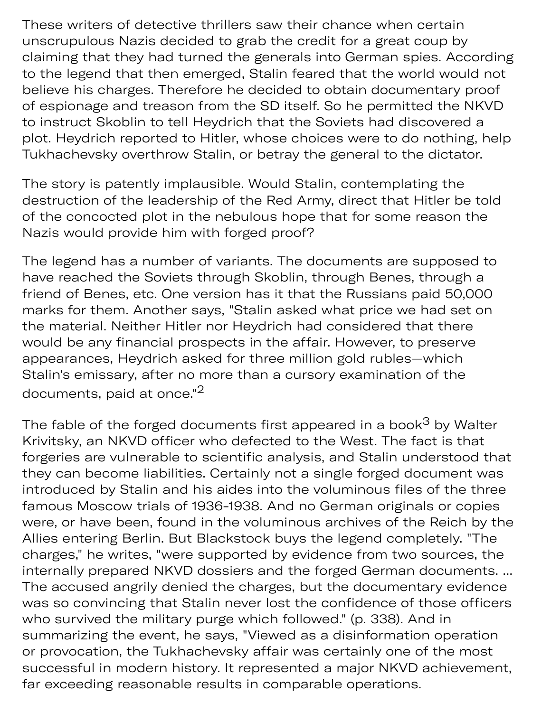These writers of detective thrillers saw their chance when certain unscrupulous Nazis decided to grab the credit for a great coup by claiming that they had turned the generals into German spies. According to the legend that then emerged, Stalin feared that the world would not believe his charges. Therefore he decided to obtain documentary proof of espionage and treason from the SD itself. So he permitted the NKVD to instruct Skoblin to tell Heydrich that the Soviets had discovered a plot. Heydrich reported to Hitler, whose choices were to do nothing, help Tukhachevsky overthrow Stalin, or betray the general to the dictator.

The story is patently implausible. Would Stalin, contemplating the destruction of the leadership of the Red Army, direct that Hitler be told of the concocted plot in the nebulous hope that for some reason the Nazis would provide him with forged proof?

The legend has a number of variants. The documents are supposed to have reached the Soviets through Skoblin, through Benes, through a friend of Benes, etc. One version has it that the Russians paid 50,000 marks for them. Another says, "Stalin asked what price we had set on the material. Neither Hitler nor Heydrich had considered that there would be any financial prospects in the affair. However, to preserve appearances, Heydrich asked for three million gold rubles—which Stalin's emissary, after no more than a cursory examination of the documents, paid at once."<sup>2</sup>

The fable of the forged documents first appeared in a book<sup>3</sup> by Walter Krivitsky, an NKVD officer who defected to the West. The fact is that forgeries are vulnerable to scientific analysis, and Stalin understood that they can become liabilities. Certainly not a single forged document was introduced by Stalin and his aides into the voluminous files of the three famous Moscow trials of 1936-1938. And no German originals or copies were, or have been, found in the voluminous archives of the Reich by the Allies entering Berlin. But Blackstock buys the legend completely. "The charges," he writes, "were supported by evidence from two sources, the internally prepared NKVD dossiers and the forged German documents. ... The accused angrily denied the charges, but the documentary evidence was so convincing that Stalin never lost the confidence of those officers who survived the military purge which followed." (p. 338). And in summarizing the event, he says, "Viewed as a disinformation operation or provocation, the Tukhachevsky affair was certainly one of the most successful in modern history. It represented a major NKVD achievement, far exceeding reasonable results in comparable operations.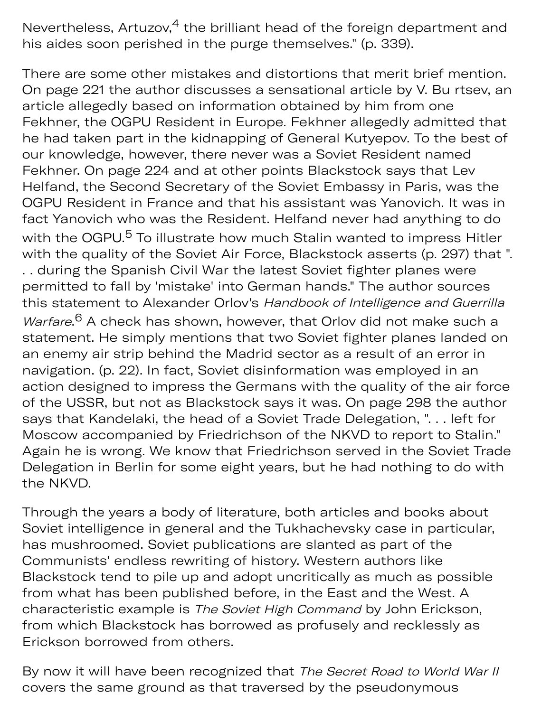Nevertheless, Artuzov, $4$  the brilliant head of the foreign department and his aides soon perished in the purge themselves." (p. 339).

There are some other mistakes and distortions that merit brief mention. On page 221 the author discusses a sensational article by V. Bu rtsev, an article allegedly based on information obtained by him from one Fekhner, the OGPU Resident in Europe. Fekhner allegedly admitted that he had taken part in the kidnapping of General Kutyepov. To the best of our knowledge, however, there never was a Soviet Resident named Fekhner. On page 224 and at other points Blackstock says that Lev Helfand, the Second Secretary of the Soviet Embassy in Paris, was the OGPU Resident in France and that his assistant was Yanovich. It was in fact Yanovich who was the Resident. Helfand never had anything to do with the OGPU.<sup>5</sup> To illustrate how much Stalin wanted to impress Hitler with the quality of the Soviet Air Force, Blackstock asserts (p. 297) that ". . . during the Spanish Civil War the latest Soviet fighter planes were permitted to fall by 'mistake' into German hands." The author sources this statement to Alexander Orlov's Handbook of Intelligence and Guerrilla Warfare.<sup>6</sup> A check has shown, however, that Orlov did not make such a statement. He simply mentions that two Soviet fighter planes landed on an enemy air strip behind the Madrid sector as a result of an error in navigation. (p. 22). In fact, Soviet disinformation was employed in an action designed to impress the Germans with the quality of the air force of the USSR, but not as Blackstock says it was. On page 298 the author says that Kandelaki, the head of a Soviet Trade Delegation, ". . . left for Moscow accompanied by Friedrichson of the NKVD to report to Stalin." Again he is wrong. We know that Friedrichson served in the Soviet Trade Delegation in Berlin for some eight years, but he had nothing to do with the NKVD.

Through the years a body of literature, both articles and books about Soviet intelligence in general and the Tukhachevsky case in particular, has mushroomed. Soviet publications are slanted as part of the Communists' endless rewriting of history. Western authors like Blackstock tend to pile up and adopt uncritically as much as possible from what has been published before, in the East and the West. A characteristic example is The Soviet High Command by John Erickson, from which Blackstock has borrowed as profusely and recklessly as Erickson borrowed from others.

By now it will have been recognized that The Secret Road to World War II covers the same ground as that traversed by the pseudonymous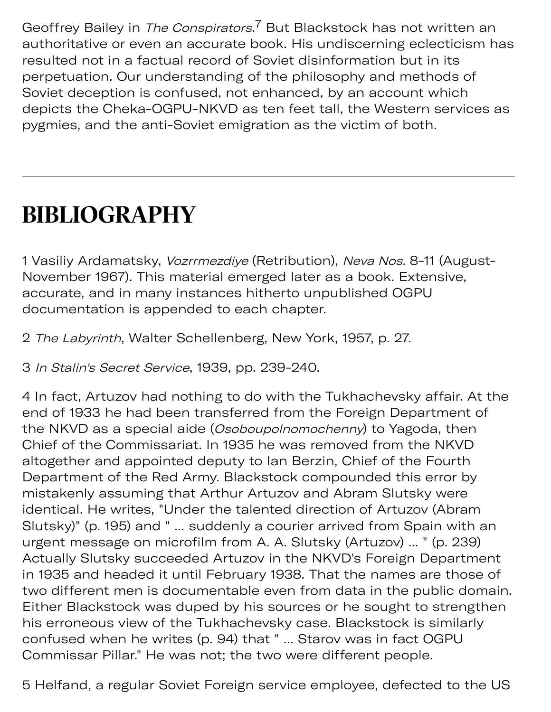Geoffrey Bailey in *The Conspirators*.<sup>7</sup> But Blackstock has not written an authoritative or even an accurate book. His undiscerning eclecticism has resulted not in a factual record of Soviet disinformation but in its perpetuation. Our understanding of the philosophy and methods of Soviet deception is confused, not enhanced, by an account which depicts the Cheka-OGPU-NKVD as ten feet tall, the Western services as pygmies, and the anti-Soviet emigration as the victim of both.

## **BIBLIOGRAPHY**

1 Vasiliy Ardamatsky, Vozrrmezdiye (Retribution), Neva Nos. 8-11 (August-November 1967). This material emerged later as a book. Extensive, accurate, and in many instances hitherto unpublished OGPU documentation is appended to each chapter.

2 The Labyrinth, Walter Schellenberg, New York, 1957, p. 27.

3 In Stalin's Secret Service, 1939, pp. 239-240.

4 In fact, Artuzov had nothing to do with the Tukhachevsky affair. At the end of 1933 he had been transferred from the Foreign Department of the NKVD as a special aide (Osoboupolnomochenny) to Yagoda, then Chief of the Commissariat. In 1935 he was removed from the NKVD altogether and appointed deputy to Ian Berzin, Chief of the Fourth Department of the Red Army. Blackstock compounded this error by mistakenly assuming that Arthur Artuzov and Abram Slutsky were identical. He writes, "Under the talented direction of Artuzov (Abram Slutsky)" (p. 195) and " ... suddenly a courier arrived from Spain with an urgent message on microfilm from A. A. Slutsky (Artuzov) ... " (p. 239) Actually Slutsky succeeded Artuzov in the NKVD's Foreign Department in 1935 and headed it until February 1938. That the names are those of two different men is documentable even from data in the public domain. Either Blackstock was duped by his sources or he sought to strengthen his erroneous view of the Tukhachevsky case. Blackstock is similarly confused when he writes (p. 94) that " ... Starov was in fact OGPU Commissar Pillar." He was not; the two were different people.

5 Helfand, a regular Soviet Foreign service employee, defected to the US